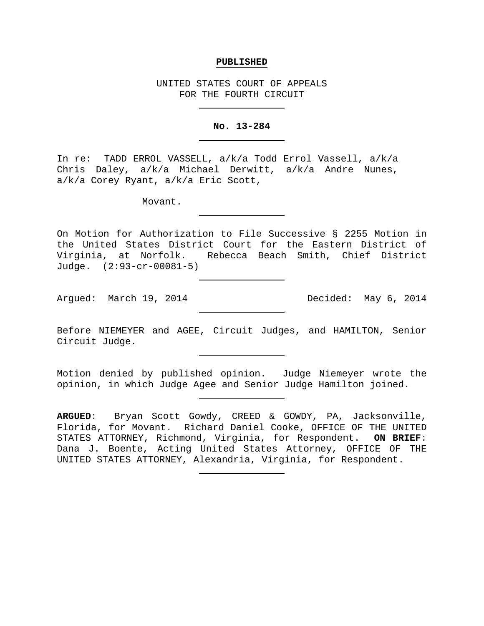### **PUBLISHED**

UNITED STATES COURT OF APPEALS FOR THE FOURTH CIRCUIT

# **No. 13-284**

In re: TADD ERROL VASSELL, a/k/a Todd Errol Vassell, a/k/a Chris Daley, a/k/a Michael Derwitt, a/k/a Andre Nunes, a/k/a Corey Ryant, a/k/a Eric Scott,

Movant.

On Motion for Authorization to File Successive § 2255 Motion in the United States District Court for the Eastern District of Virginia, at Norfolk. Rebecca Beach Smith, Chief District Judge. (2:93-cr-00081-5)

Argued: March 19, 2014 Decided: May 6, 2014

Before NIEMEYER and AGEE, Circuit Judges, and HAMILTON, Senior Circuit Judge.

Motion denied by published opinion. Judge Niemeyer wrote the opinion, in which Judge Agee and Senior Judge Hamilton joined.

**ARGUED**: Bryan Scott Gowdy, CREED & GOWDY, PA, Jacksonville, Florida, for Movant. Richard Daniel Cooke, OFFICE OF THE UNITED STATES ATTORNEY, Richmond, Virginia, for Respondent. **ON BRIEF**: Dana J. Boente, Acting United States Attorney, OFFICE OF THE UNITED STATES ATTORNEY, Alexandria, Virginia, for Respondent.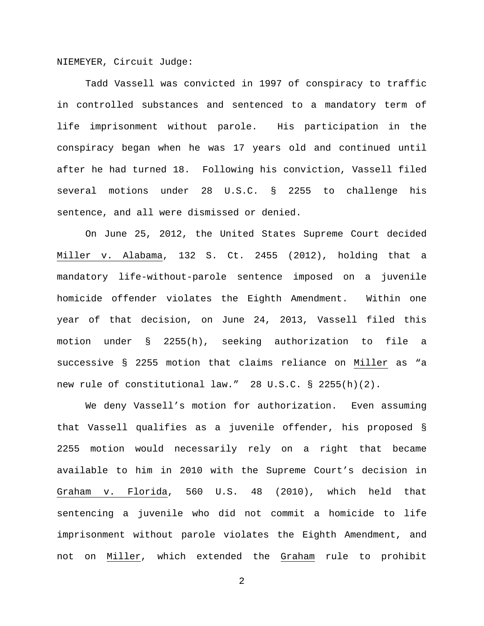NIEMEYER, Circuit Judge:

Tadd Vassell was convicted in 1997 of conspiracy to traffic in controlled substances and sentenced to a mandatory term of life imprisonment without parole. His participation in the conspiracy began when he was 17 years old and continued until after he had turned 18. Following his conviction, Vassell filed several motions under 28 U.S.C. § 2255 to challenge his sentence, and all were dismissed or denied.

On June 25, 2012, the United States Supreme Court decided Miller v. Alabama, 132 S. Ct. 2455 (2012), holding that a mandatory life-without-parole sentence imposed on a juvenile homicide offender violates the Eighth Amendment. Within one year of that decision, on June 24, 2013, Vassell filed this motion under § 2255(h), seeking authorization to file a successive § 2255 motion that claims reliance on Miller as "a new rule of constitutional law." 28 U.S.C. § 2255(h)(2).

We deny Vassell's motion for authorization. Even assuming that Vassell qualifies as a juvenile offender, his proposed § 2255 motion would necessarily rely on a right that became available to him in 2010 with the Supreme Court's decision in Graham v. Florida, 560 U.S. 48 (2010), which held that sentencing a juvenile who did not commit a homicide to life imprisonment without parole violates the Eighth Amendment, and not on Miller, which extended the Graham rule to prohibit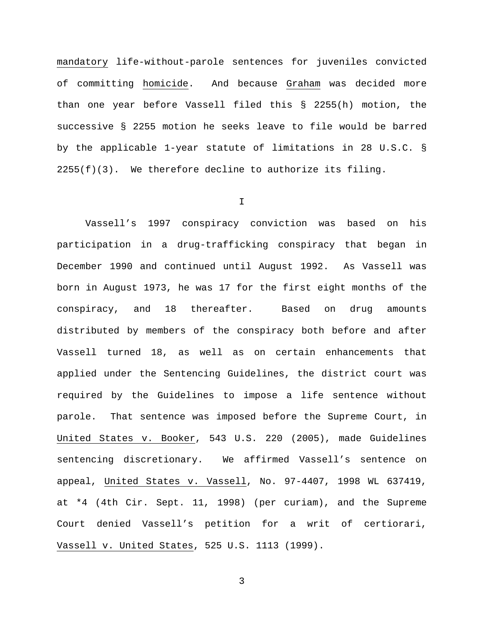mandatory life-without-parole sentences for juveniles convicted of committing homicide. And because Graham was decided more than one year before Vassell filed this § 2255(h) motion, the successive § 2255 motion he seeks leave to file would be barred by the applicable 1-year statute of limitations in 28 U.S.C. §  $2255(f)(3)$ . We therefore decline to authorize its filing.

#### I

Vassell's 1997 conspiracy conviction was based on his participation in a drug-trafficking conspiracy that began in December 1990 and continued until August 1992. As Vassell was born in August 1973, he was 17 for the first eight months of the conspiracy, and 18 thereafter. Based on drug amounts distributed by members of the conspiracy both before and after Vassell turned 18, as well as on certain enhancements that applied under the Sentencing Guidelines, the district court was required by the Guidelines to impose a life sentence without parole. That sentence was imposed before the Supreme Court, in United States v. Booker, 543 U.S. 220 (2005), made Guidelines sentencing discretionary. We affirmed Vassell's sentence on appeal, United States v. Vassell, No. 97-4407, 1998 WL 637419, at \*4 (4th Cir. Sept. 11, 1998) (per curiam), and the Supreme Court denied Vassell's petition for a writ of certiorari, Vassell v. United States, 525 U.S. 1113 (1999).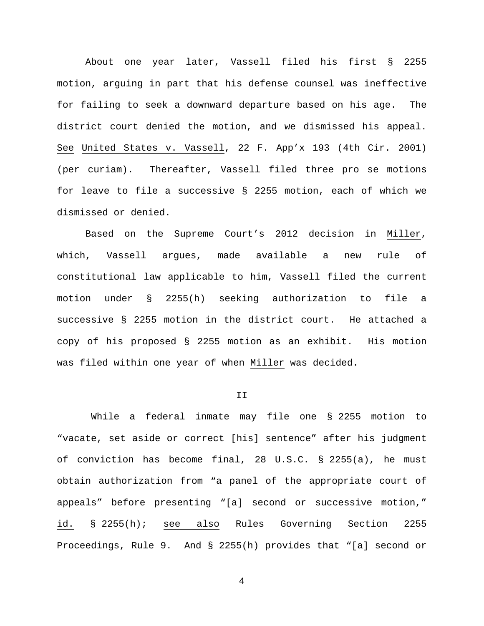About one year later, Vassell filed his first § 2255 motion, arguing in part that his defense counsel was ineffective for failing to seek a downward departure based on his age. The district court denied the motion, and we dismissed his appeal. See United States v. Vassell, 22 F. App'x 193 (4th Cir. 2001) (per curiam). Thereafter, Vassell filed three pro se motions for leave to file a successive § 2255 motion, each of which we dismissed or denied.

Based on the Supreme Court's 2012 decision in Miller, which, Vassell argues, made available a new rule of constitutional law applicable to him, Vassell filed the current motion under § 2255(h) seeking authorization to file a successive § 2255 motion in the district court. He attached a copy of his proposed § 2255 motion as an exhibit. His motion was filed within one year of when Miller was decided.

## II

While a federal inmate may file one § 2255 motion to "vacate, set aside or correct [his] sentence" after his judgment of conviction has become final, 28 U.S.C. § 2255(a), he must obtain authorization from "a panel of the appropriate court of appeals" before presenting "[a] second or successive motion," id. § 2255(h); see also Rules Governing Section 2255 Proceedings, Rule 9. And § 2255(h) provides that "[a] second or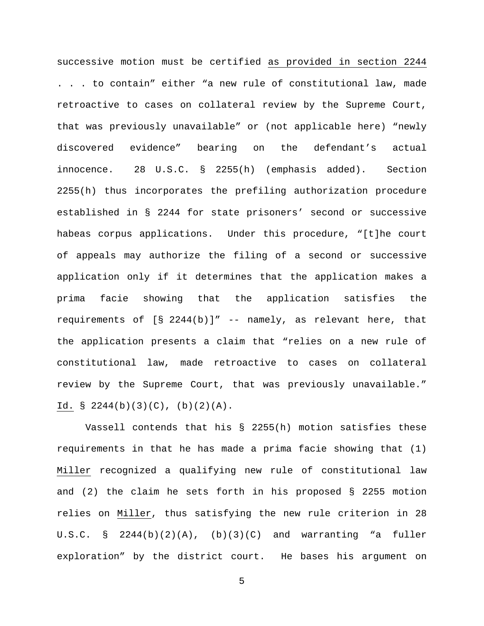successive motion must be certified as provided in section 2244 . . . to contain" either "a new rule of constitutional law, made retroactive to cases on collateral review by the Supreme Court, that was previously unavailable" or (not applicable here) "newly discovered evidence" bearing on the defendant's actual innocence. 28 U.S.C. § 2255(h) (emphasis added). Section 2255(h) thus incorporates the prefiling authorization procedure established in § 2244 for state prisoners' second or successive habeas corpus applications. Under this procedure, "[t]he court of appeals may authorize the filing of a second or successive application only if it determines that the application makes a prima facie showing that the application satisfies the requirements of  $[S \ 2244(b)]''$  -- namely, as relevant here, that the application presents a claim that "relies on a new rule of constitutional law, made retroactive to cases on collateral review by the Supreme Court, that was previously unavailable." Id.  $\S$  2244(b)(3)(C), (b)(2)(A).

Vassell contends that his § 2255(h) motion satisfies these requirements in that he has made a prima facie showing that (1) Miller recognized a qualifying new rule of constitutional law and (2) the claim he sets forth in his proposed  $\S$  2255 motion relies on Miller, thus satisfying the new rule criterion in 28 U.S.C. §  $2244(b)(2)(A)$ , (b)(3)(C) and warranting "a fuller exploration" by the district court. He bases his argument on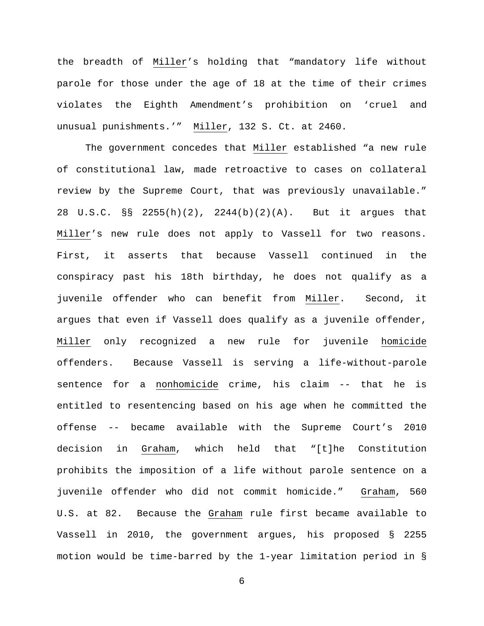the breadth of Miller's holding that "mandatory life without parole for those under the age of 18 at the time of their crimes violates the Eighth Amendment's prohibition on 'cruel and unusual punishments.'" Miller, 132 S. Ct. at 2460.

The government concedes that Miller established "a new rule of constitutional law, made retroactive to cases on collateral review by the Supreme Court, that was previously unavailable." 28 U.S.C. §§ 2255(h)(2), 2244(b)(2)(A). But it argues that Miller's new rule does not apply to Vassell for two reasons. First, it asserts that because Vassell continued in the conspiracy past his 18th birthday, he does not qualify as a juvenile offender who can benefit from Miller. Second, it argues that even if Vassell does qualify as a juvenile offender, Miller only recognized a new rule for juvenile homicide offenders. Because Vassell is serving a life-without-parole sentence for a nonhomicide crime, his claim -- that he is entitled to resentencing based on his age when he committed the offense -- became available with the Supreme Court's 2010 decision in Graham, which held that "[t]he Constitution prohibits the imposition of a life without parole sentence on a juvenile offender who did not commit homicide." Graham, 560 U.S. at 82. Because the Graham rule first became available to Vassell in 2010, the government argues, his proposed § 2255 motion would be time-barred by the 1-year limitation period in §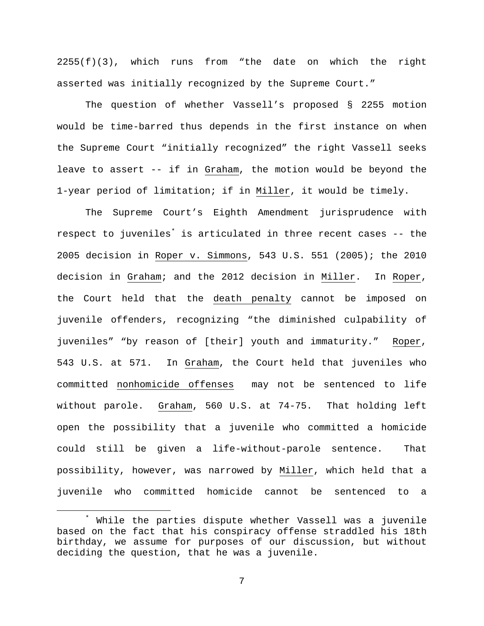2255(f)(3), which runs from "the date on which the right asserted was initially recognized by the Supreme Court."

The question of whether Vassell's proposed § 2255 motion would be time-barred thus depends in the first instance on when the Supreme Court "initially recognized" the right Vassell seeks leave to assert -- if in Graham, the motion would be beyond the 1-year period of limitation; if in Miller, it would be timely.

The Supreme Court's Eighth Amendment jurisprudence with respect to juveniles<sup>[\\*](#page-6-0)</sup> is articulated in three recent cases -- the 2005 decision in Roper v. Simmons, 543 U.S. 551 (2005); the 2010 decision in Graham; and the 2012 decision in Miller. In Roper, the Court held that the death penalty cannot be imposed on juvenile offenders, recognizing "the diminished culpability of juveniles" "by reason of [their] youth and immaturity." Roper, 543 U.S. at 571. In Graham, the Court held that juveniles who committed nonhomicide offenses may not be sentenced to life without parole. Graham, 560 U.S. at 74-75. That holding left open the possibility that a juvenile who committed a homicide could still be given a life-without-parole sentence. That possibility, however, was narrowed by Miller, which held that a juvenile who committed homicide cannot be sentenced to a

<span id="page-6-0"></span>While the parties dispute whether Vassell was a juvenile based on the fact that his conspiracy offense straddled his 18th birthday, we assume for purposes of our discussion, but without deciding the question, that he was a juvenile.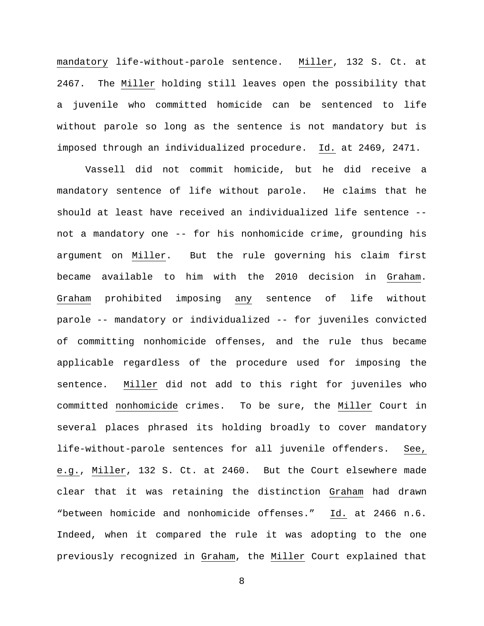mandatory life-without-parole sentence. Miller, 132 S. Ct. at 2467. The Miller holding still leaves open the possibility that a juvenile who committed homicide can be sentenced to life without parole so long as the sentence is not mandatory but is imposed through an individualized procedure. Id. at 2469, 2471.

Vassell did not commit homicide, but he did receive a mandatory sentence of life without parole. He claims that he should at least have received an individualized life sentence - not a mandatory one -- for his nonhomicide crime, grounding his argument on Miller. But the rule governing his claim first became available to him with the 2010 decision in Graham. Graham prohibited imposing any sentence of life without parole -- mandatory or individualized -- for juveniles convicted of committing nonhomicide offenses, and the rule thus became applicable regardless of the procedure used for imposing the sentence. Miller did not add to this right for juveniles who committed nonhomicide crimes. To be sure, the Miller Court in several places phrased its holding broadly to cover mandatory life-without-parole sentences for all juvenile offenders. See, e.g., Miller, 132 S. Ct. at 2460. But the Court elsewhere made clear that it was retaining the distinction Graham had drawn "between homicide and nonhomicide offenses." Id. at 2466 n.6. Indeed, when it compared the rule it was adopting to the one previously recognized in Graham, the Miller Court explained that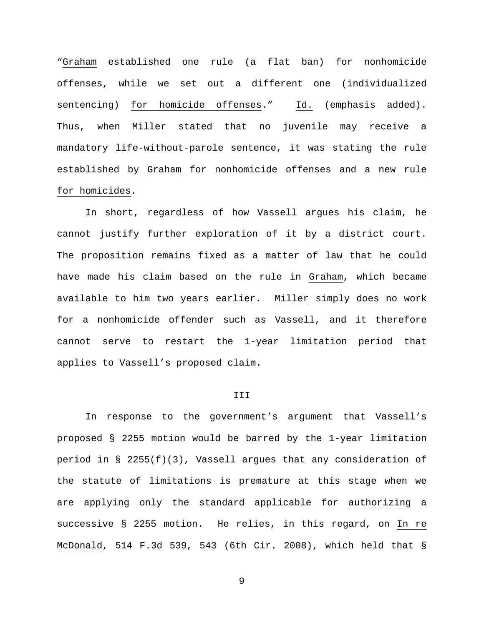"Graham established one rule (a flat ban) for nonhomicide offenses, while we set out a different one (individualized sentencing) for homicide offenses." Id. (emphasis added). Thus, when Miller stated that no juvenile may receive a mandatory life-without-parole sentence, it was stating the rule established by Graham for nonhomicide offenses and a new rule for homicides.

In short, regardless of how Vassell argues his claim, he cannot justify further exploration of it by a district court. The proposition remains fixed as a matter of law that he could have made his claim based on the rule in Graham, which became available to him two years earlier. Miller simply does no work for a nonhomicide offender such as Vassell, and it therefore cannot serve to restart the 1-year limitation period that applies to Vassell's proposed claim.

# III

In response to the government's argument that Vassell's proposed § 2255 motion would be barred by the 1-year limitation period in § 2255(f)(3), Vassell argues that any consideration of the statute of limitations is premature at this stage when we are applying only the standard applicable for authorizing a successive § 2255 motion. He relies, in this regard, on In re McDonald, 514 F.3d 539, 543 (6th Cir. 2008), which held that §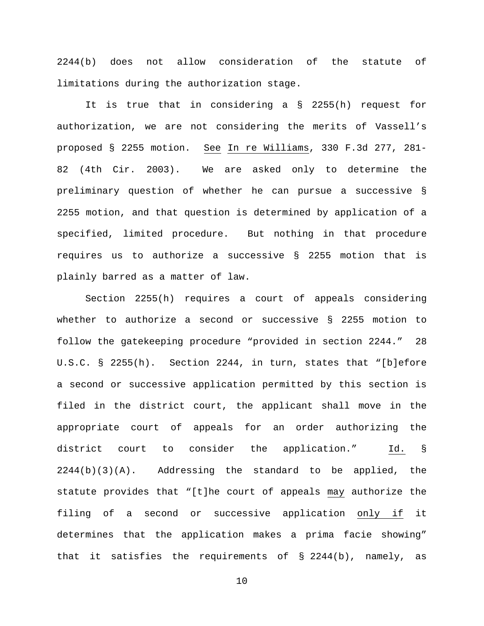2244(b) does not allow consideration of the statute of limitations during the authorization stage.

It is true that in considering a § 2255(h) request for authorization, we are not considering the merits of Vassell's proposed § 2255 motion. See In re Williams, 330 F.3d 277, 281- 82 (4th Cir. 2003). We are asked only to determine the preliminary question of whether he can pursue a successive § 2255 motion, and that question is determined by application of a specified, limited procedure. But nothing in that procedure requires us to authorize a successive § 2255 motion that is plainly barred as a matter of law.

Section 2255(h) requires a court of appeals considering whether to authorize a second or successive § 2255 motion to follow the gatekeeping procedure "provided in section 2244." 28 U.S.C. § 2255(h). Section 2244, in turn, states that "[b]efore a second or successive application permitted by this section is filed in the district court, the applicant shall move in the appropriate court of appeals for an order authorizing the district court to consider the application." Id. § 2244(b)(3)(A). Addressing the standard to be applied, the statute provides that "[t]he court of appeals may authorize the filing of a second or successive application only if it determines that the application makes a prima facie showing" that it satisfies the requirements of § 2244(b), namely, as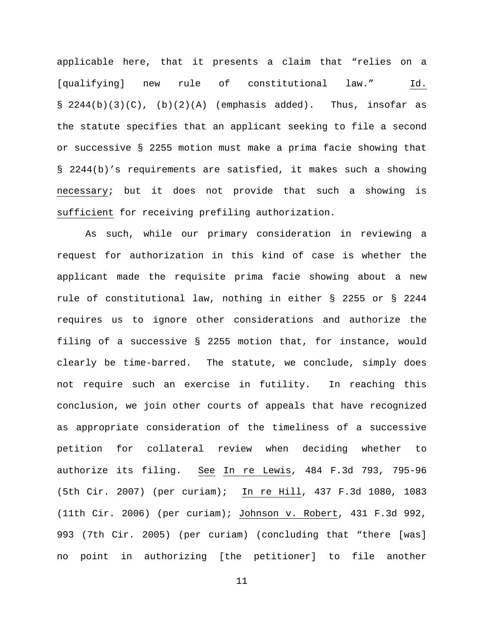applicable here, that it presents a claim that "relies on a [qualifying] new rule of constitutional law." Id.  $\S$  2244(b)(3)(C), (b)(2)(A) (emphasis added). Thus, insofar as the statute specifies that an applicant seeking to file a second or successive § 2255 motion must make a prima facie showing that § 2244(b)'s requirements are satisfied, it makes such a showing necessary; but it does not provide that such a showing is sufficient for receiving prefiling authorization.

As such, while our primary consideration in reviewing a request for authorization in this kind of case is whether the applicant made the requisite prima facie showing about a new rule of constitutional law, nothing in either § 2255 or § 2244 requires us to ignore other considerations and authorize the filing of a successive § 2255 motion that, for instance, would clearly be time-barred. The statute, we conclude, simply does not require such an exercise in futility. In reaching this conclusion, we join other courts of appeals that have recognized as appropriate consideration of the timeliness of a successive petition for collateral review when deciding whether to authorize its filing. See In re Lewis, 484 F.3d 793, 795-96 (5th Cir. 2007) (per curiam); In re Hill, 437 F.3d 1080, 1083 (11th Cir. 2006) (per curiam); Johnson v. Robert, 431 F.3d 992, 993 (7th Cir. 2005) (per curiam) (concluding that "there [was] no point in authorizing [the petitioner] to file another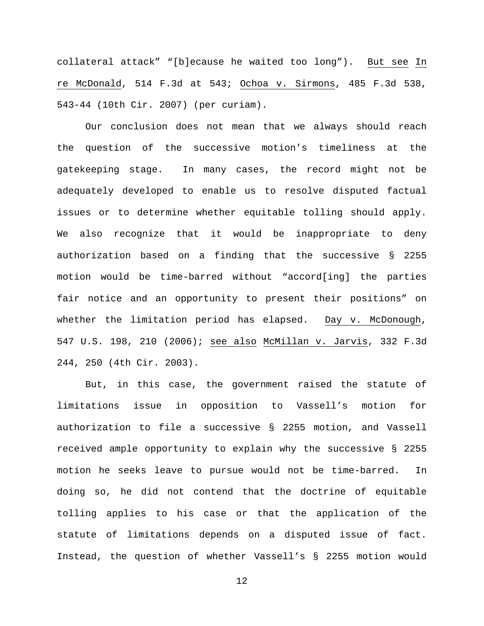collateral attack" "[b]ecause he waited too long"). But see In re McDonald, 514 F.3d at 543; Ochoa v. Sirmons, 485 F.3d 538, 543-44 (10th Cir. 2007) (per curiam).

Our conclusion does not mean that we always should reach the question of the successive motion's timeliness at the gatekeeping stage. In many cases, the record might not be adequately developed to enable us to resolve disputed factual issues or to determine whether equitable tolling should apply. We also recognize that it would be inappropriate to deny authorization based on a finding that the successive § 2255 motion would be time-barred without "accord[ing] the parties fair notice and an opportunity to present their positions" on whether the limitation period has elapsed. Day v. McDonough, 547 U.S. 198, 210 (2006); see also McMillan v. Jarvis, 332 F.3d 244, 250 (4th Cir. 2003).

But, in this case, the government raised the statute of limitations issue in opposition to Vassell's motion for authorization to file a successive § 2255 motion, and Vassell received ample opportunity to explain why the successive § 2255 motion he seeks leave to pursue would not be time-barred. In doing so, he did not contend that the doctrine of equitable tolling applies to his case or that the application of the statute of limitations depends on a disputed issue of fact. Instead, the question of whether Vassell's § 2255 motion would